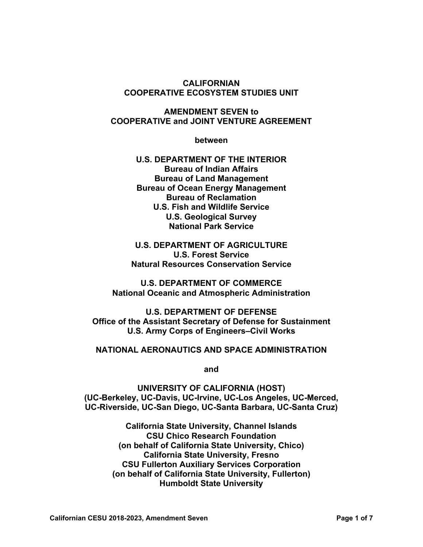#### **CALIFORNIAN COOPERATIVE ECOSYSTEM STUDIES UNIT**

### **AMENDMENT SEVEN to COOPERATIVE and JOINT VENTURE AGREEMENT**

**between**

**U.S. DEPARTMENT OF THE INTERIOR Bureau of Indian Affairs Bureau of Land Management Bureau of Ocean Energy Management Bureau of Reclamation U.S. Fish and Wildlife Service U.S. Geological Survey National Park Service**

**U.S. DEPARTMENT OF AGRICULTURE U.S. Forest Service Natural Resources Conservation Service**

**U.S. DEPARTMENT OF COMMERCE National Oceanic and Atmospheric Administration**

**U.S. DEPARTMENT OF DEFENSE Office of the Assistant Secretary of Defense for Sustainment U.S. Army Corps of Engineers–Civil Works**

#### **NATIONAL AERONAUTICS AND SPACE ADMINISTRATION**

**and**

**UNIVERSITY OF CALIFORNIA (HOST) (UC-Berkeley, UC-Davis, UC-Irvine, UC-Los Angeles, UC-Merced, UC-Riverside, UC-San Diego, UC-Santa Barbara, UC-Santa Cruz)**

> **California State University, Channel Islands CSU Chico Research Foundation (on behalf of California State University, Chico) California State University, Fresno CSU Fullerton Auxiliary Services Corporation (on behalf of California State University, Fullerton) Humboldt State University**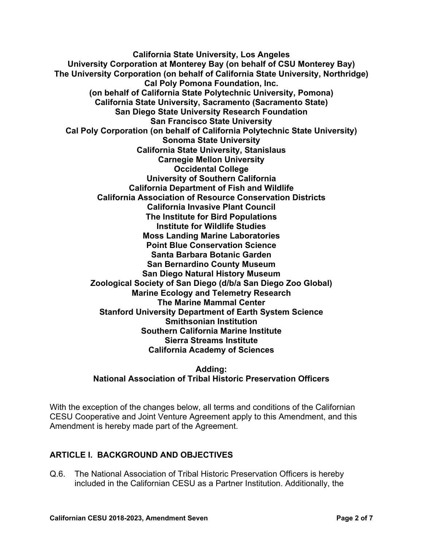**California State University, Los Angeles University Corporation at Monterey Bay (on behalf of CSU Monterey Bay) The University Corporation (on behalf of California State University, Northridge) Cal Poly Pomona Foundation, Inc. (on behalf of California State Polytechnic University, Pomona) California State University, Sacramento (Sacramento State) San Diego State University Research Foundation San Francisco State University Cal Poly Corporation (on behalf of California Polytechnic State University) Sonoma State University California State University, Stanislaus Carnegie Mellon University Occidental College University of Southern California California Department of Fish and Wildlife California Association of Resource Conservation Districts California Invasive Plant Council The Institute for Bird Populations Institute for Wildlife Studies Moss Landing Marine Laboratories Point Blue Conservation Science Santa Barbara Botanic Garden San Bernardino County Museum San Diego Natural History Museum Zoological Society of San Diego (d/b/a San Diego Zoo Global) Marine Ecology and Telemetry Research The Marine Mammal Center Stanford University Department of Earth System Science Smithsonian Institution Southern California Marine Institute Sierra Streams Institute California Academy of Sciences**

### **Adding: National Association of Tribal Historic Preservation Officers**

With the exception of the changes below, all terms and conditions of the Californian CESU Cooperative and Joint Venture Agreement apply to this Amendment, and this Amendment is hereby made part of the Agreement.

### **ARTICLE I. BACKGROUND AND OBJECTIVES**

Q.6. The National Association of Tribal Historic Preservation Officers is hereby included in the Californian CESU as a Partner Institution. Additionally, the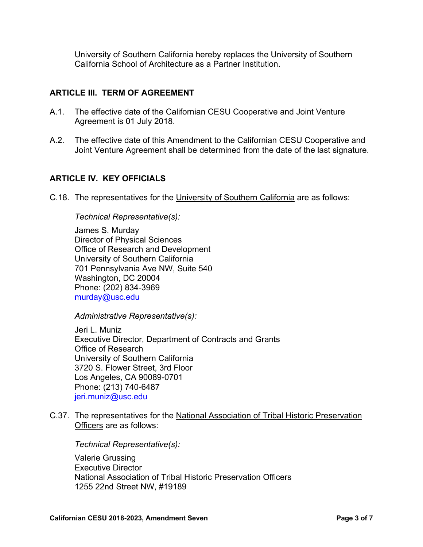University of Southern California hereby replaces the University of Southern California School of Architecture as a Partner Institution.

#### **ARTICLE III. TERM OF AGREEMENT**

- A.1. The effective date of the Californian CESU Cooperative and Joint Venture Agreement is 01 July 2018.
- A.2. The effective date of this Amendment to the Californian CESU Cooperative and Joint Venture Agreement shall be determined from the date of the last signature.

### **ARTICLE IV. KEY OFFICIALS**

C.18. The representatives for the University of Southern California are as follows:

#### *Technical Representative(s):*

James S. Murday Director of Physical Sciences Office of Research and Development University of Southern California 701 Pennsylvania Ave NW, Suite 540 Washington, DC 20004 Phone: (202) 834-3969 [murday@usc.edu](mailto:murday@usc.edu)

*Administrative Representative(s):*

Jeri L. Muniz Executive Director, Department of Contracts and Grants Office of Research University of Southern California 3720 S. Flower Street, 3rd Floor Los Angeles, CA 90089-0701 Phone: (213) 740‑6487 [jeri.muniz@usc.edu](mailto:jeri.muniz@usc.edu)

C.37. The representatives for the National Association of Tribal Historic Preservation Officers are as follows:

*Technical Representative(s):*

Valerie Grussing Executive Director National Association of Tribal Historic Preservation Officers 1255 22nd Street NW, #19189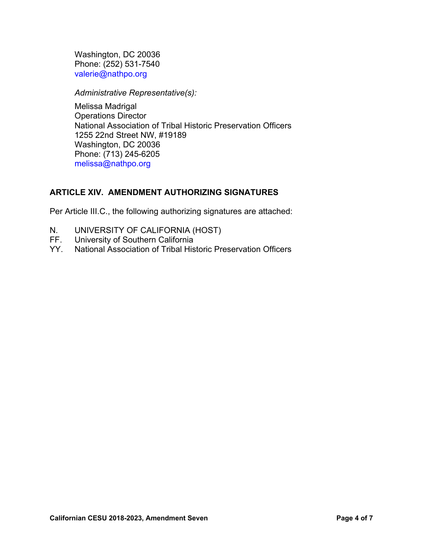Washington, DC 20036 Phone: (252) 531-7540 [valerie@nathpo.org](mailto:valerie@nathpo.org)

*Administrative Representative(s):*

Melissa Madrigal Operations Director National Association of Tribal Historic Preservation Officers 1255 22nd Street NW, #19189 Washington, DC 20036 Phone: (713) 245-6205 [melissa@nathpo.org](mailto:melissa@nathpo.org)

## **ARTICLE XIV. AMENDMENT AUTHORIZING SIGNATURES**

Per Article III.C., the following authorizing signatures are attached:

- N. UNIVERSITY OF CALIFORNIA (HOST)<br>FF. University of Southern California
- University of Southern California
- YY. National Association of Tribal Historic Preservation Officers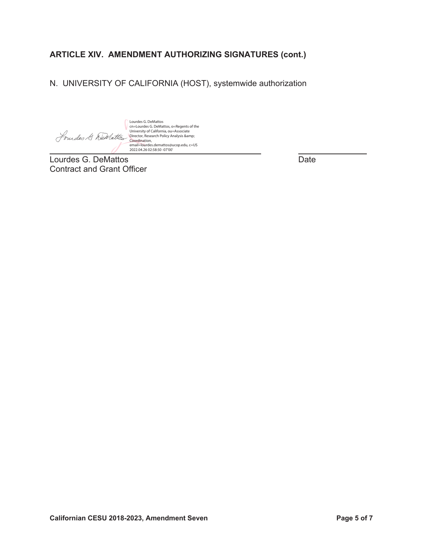# **ARTICLE XIV. AMENDMENT AUTHORIZING SIGNATURES (cont.)**

N. UNIVERSITY OF CALIFORNIA (HOST), systemwide authorization

Lourdes G. DeMattos, o=Regents of the<br>Chiversity of California, ou=Associate<br>Director, Research Policy Analysis &amp;<br>Coordination,<br>email=lourdes.demattos@ucop.edu, c=US<br>2022.04.26 02:58:50 -07'00'

 $\overline{a}$ Lourdes G. DeMattos **Date** Contract and Grant Officer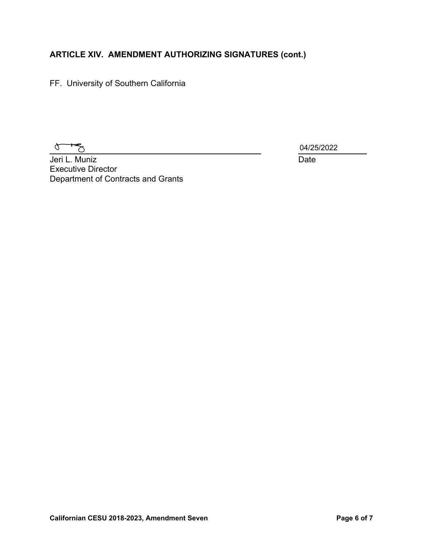# **ARTICLE XIV. AMENDMENT AUTHORIZING SIGNATURES (cont.)**

FF. University of Southern California

 $\sigma$  $\vec{\mathcal{P}}$ 

04/25/2022

**Jeri L. Muniz** Date Executive Director Department of Contracts and Grants